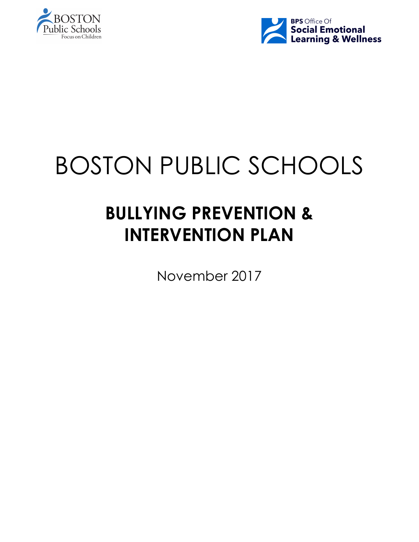



# BOSTON PUBLIC SCHOOLS

# **BULLYING PREVENTION & INTERVENTION PLAN**

November 2017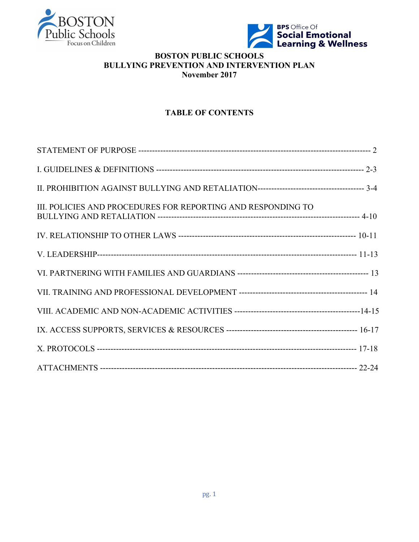



# **BOSTON PUBLIC SCHOOLS BULLYING PREVENTION AND INTERVENTION PLAN November 2017**

# **TABLE OF CONTENTS**

| III. POLICIES AND PROCEDURES FOR REPORTING AND RESPONDING TO |  |
|--------------------------------------------------------------|--|
|                                                              |  |
|                                                              |  |
|                                                              |  |
|                                                              |  |
|                                                              |  |
|                                                              |  |
|                                                              |  |
|                                                              |  |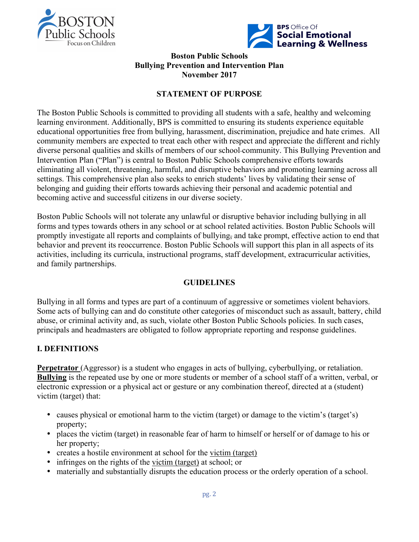



#### **Boston Public Schools Bullying Prevention and Intervention Plan November 2017**

# **STATEMENT OF PURPOSE**

The Boston Public Schools is committed to providing all students with a safe, healthy and welcoming learning environment. Additionally, BPS is committed to ensuring its students experience equitable educational opportunities free from bullying, harassment, discrimination, prejudice and hate crimes. All community members are expected to treat each other with respect and appreciate the different and richly diverse personal qualities and skills of members of our school community. This Bullying Prevention and Intervention Plan ("Plan") is central to Boston Public Schools comprehensive efforts towards eliminating all violent, threatening, harmful, and disruptive behaviors and promoting learning across all settings. This comprehensive plan also seeks to enrich students' lives by validating their sense of belonging and guiding their efforts towards achieving their personal and academic potential and becoming active and successful citizens in our diverse society.

Boston Public Schools will not tolerate any unlawful or disruptive behavior including bullying in all forms and types towards others in any school or at school related activities. Boston Public Schools will promptly investigate all reports and complaints of bullying, and take prompt, effective action to end that behavior and prevent its reoccurrence. Boston Public Schools will support this plan in all aspects of its activities, including its curricula, instructional programs, staff development, extracurricular activities, and family partnerships.

## **GUIDELINES**

Bullying in all forms and types are part of a continuum of aggressive or sometimes violent behaviors. Some acts of bullying can and do constitute other categories of misconduct such as assault, battery, child abuse, or criminal activity and, as such, violate other Boston Public Schools policies. In such cases, principals and headmasters are obligated to follow appropriate reporting and response guidelines.

# **I. DEFINITIONS**

**Perpetrator** (Aggressor) is a student who engages in acts of bullying, cyberbullying, or retaliation. **Bullying** is the repeated use by one or more students or member of a school staff of a written, verbal, or electronic expression or a physical act or gesture or any combination thereof, directed at a (student) victim (target) that:

- causes physical or emotional harm to the victim (target) or damage to the victim's (target's) property;
- places the victim (target) in reasonable fear of harm to himself or herself or of damage to his or her property;
- creates a hostile environment at school for the victim (target)
- infringes on the rights of the victim (target) at school; or
- materially and substantially disrupts the education process or the orderly operation of a school.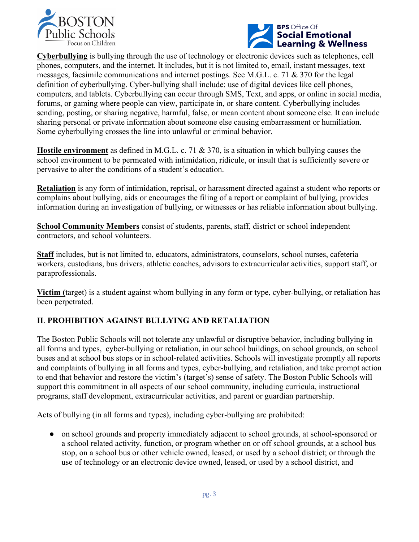



**Cyberbullying** is bullying through the use of technology or electronic devices such as telephones, cell phones, computers, and the internet. It includes, but it is not limited to, email, instant messages, text messages, facsimile communications and internet postings. See M.G.L. c. 71 & 370 for the legal definition of cyberbullying. Cyber-bullying shall include: use of digital devices like cell phones, computers, and tablets. Cyberbullying can occur through SMS, Text, and apps, or online in social media, forums, or gaming where people can view, participate in, or share content. Cyberbullying includes sending, posting, or sharing negative, harmful, false, or mean content about someone else. It can include sharing personal or private information about someone else causing embarrassment or humiliation. Some cyberbullying crosses the line into unlawful or criminal behavior.

**Hostile environment** as defined in M.G.L. c. 71 & 370, is a situation in which bullying causes the school environment to be permeated with intimidation, ridicule, or insult that is sufficiently severe or pervasive to alter the conditions of a student's education.

**Retaliation** is any form of intimidation, reprisal, or harassment directed against a student who reports or complains about bullying, aids or encourages the filing of a report or complaint of bullying, provides information during an investigation of bullying, or witnesses or has reliable information about bullying.

**School Community Members** consist of students, parents, staff, district or school independent contractors, and school volunteers.

**Staff** includes, but is not limited to, educators, administrators, counselors, school nurses, cafeteria workers, custodians, bus drivers, athletic coaches, advisors to extracurricular activities, support staff, or paraprofessionals.

**Victim (**target) is a student against whom bullying in any form or type, cyber-bullying, or retaliation has been perpetrated.

# **II**. **PROHIBITION AGAINST BULLYING AND RETALIATION**

The Boston Public Schools will not tolerate any unlawful or disruptive behavior, including bullying in all forms and types, cyber-bullying or retaliation, in our school buildings, on school grounds, on school buses and at school bus stops or in school-related activities. Schools will investigate promptly all reports and complaints of bullying in all forms and types, cyber-bullying, and retaliation, and take prompt action to end that behavior and restore the victim's (target's) sense of safety. The Boston Public Schools will support this commitment in all aspects of our school community, including curricula, instructional programs, staff development, extracurricular activities, and parent or guardian partnership.

Acts of bullying (in all forms and types), including cyber-bullying are prohibited:

● on school grounds and property immediately adjacent to school grounds, at school-sponsored or a school related activity, function, or program whether on or off school grounds, at a school bus stop, on a school bus or other vehicle owned, leased, or used by a school district; or through the use of technology or an electronic device owned, leased, or used by a school district, and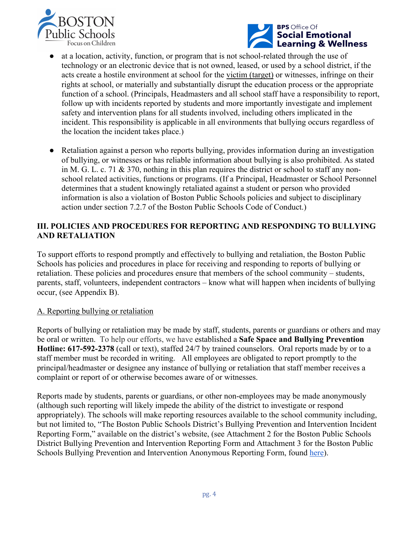



- at a location, activity, function, or program that is not school-related through the use of technology or an electronic device that is not owned, leased, or used by a school district, if the acts create a hostile environment at school for the victim (target) or witnesses, infringe on their rights at school, or materially and substantially disrupt the education process or the appropriate function of a school. (Principals, Headmasters and all school staff have a responsibility to report, follow up with incidents reported by students and more importantly investigate and implement safety and intervention plans for all students involved, including others implicated in the incident. This responsibility is applicable in all environments that bullying occurs regardless of the location the incident takes place.)
- Retaliation against a person who reports bullying, provides information during an investigation of bullying, or witnesses or has reliable information about bullying is also prohibited. As stated in M. G. L. c. 71  $\&$  370, nothing in this plan requires the district or school to staff any nonschool related activities, functions or programs. (If a Principal, Headmaster or School Personnel determines that a student knowingly retaliated against a student or person who provided information is also a violation of Boston Public Schools policies and subject to disciplinary action under section 7.2.7 of the Boston Public Schools Code of Conduct.)

#### **III. POLICIES AND PROCEDURES FOR REPORTING AND RESPONDING TO BULLYING AND RETALIATION**

To support efforts to respond promptly and effectively to bullying and retaliation, the Boston Public Schools has policies and procedures in place for receiving and responding to reports of bullying or retaliation. These policies and procedures ensure that members of the school community – students, parents, staff, volunteers, independent contractors – know what will happen when incidents of bullying occur, (see Appendix B).

#### A. Reporting bullying or retaliation

Reports of bullying or retaliation may be made by staff, students, parents or guardians or others and may be oral or written. To help our efforts, we have established a **Safe Space and Bullying Prevention Hotline: 617-592-2378** (call or text), staffed 24/7 by trained counselors. Oral reports made by or to a staff member must be recorded in writing. All employees are obligated to report promptly to the principal/headmaster or designee any instance of bullying or retaliation that staff member receives a complaint or report of or otherwise becomes aware of or witnesses.

Reports made by students, parents or guardians, or other non-employees may be made anonymously (although such reporting will likely impede the ability of the district to investigate or respond appropriately). The schools will make reporting resources available to the school community including, but not limited to, "The Boston Public Schools District's Bullying Prevention and Intervention Incident Reporting Form," available on the district's website, (see Attachment 2 for the Boston Public Schools District Bullying Prevention and Intervention Reporting Form and Attachment 3 for the Boston Public Schools Bullying Prevention and Intervention Anonymous Reporting Form, found here).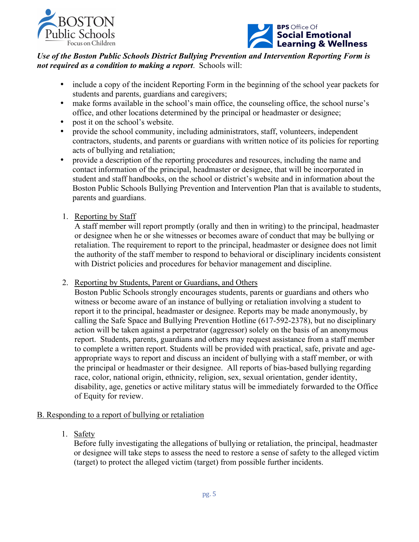



# *Use of the Boston Public Schools District Bullying Prevention and Intervention Reporting Form is not required as a condition to making a report*. Schools will:

- include a copy of the incident Reporting Form in the beginning of the school year packets for students and parents, guardians and caregivers;
- make forms available in the school's main office, the counseling office, the school nurse's office, and other locations determined by the principal or headmaster or designee;
- post it on the school's website.
- provide the school community, including administrators, staff, volunteers, independent contractors, students, and parents or guardians with written notice of its policies for reporting acts of bullying and retaliation;
- provide a description of the reporting procedures and resources, including the name and contact information of the principal, headmaster or designee, that will be incorporated in student and staff handbooks, on the school or district's website and in information about the Boston Public Schools Bullying Prevention and Intervention Plan that is available to students, parents and guardians.
- 1. Reporting by Staff

A staff member will report promptly (orally and then in writing) to the principal, headmaster or designee when he or she witnesses or becomes aware of conduct that may be bullying or retaliation. The requirement to report to the principal, headmaster or designee does not limit the authority of the staff member to respond to behavioral or disciplinary incidents consistent with District policies and procedures for behavior management and discipline.

2. Reporting by Students, Parent or Guardians, and Others

Boston Public Schools strongly encourages students, parents or guardians and others who witness or become aware of an instance of bullying or retaliation involving a student to report it to the principal, headmaster or designee. Reports may be made anonymously, by calling the Safe Space and Bullying Prevention Hotline (617-592-2378), but no disciplinary action will be taken against a perpetrator (aggressor) solely on the basis of an anonymous report. Students, parents, guardians and others may request assistance from a staff member to complete a written report. Students will be provided with practical, safe, private and ageappropriate ways to report and discuss an incident of bullying with a staff member, or with the principal or headmaster or their designee. All reports of bias-based bullying regarding race, color, national origin, ethnicity, religion, sex, sexual orientation, gender identity, disability, age, genetics or active military status will be immediately forwarded to the Office of Equity for review.

## B. Responding to a report of bullying or retaliation

1. Safety

Before fully investigating the allegations of bullying or retaliation, the principal, headmaster or designee will take steps to assess the need to restore a sense of safety to the alleged victim (target) to protect the alleged victim (target) from possible further incidents.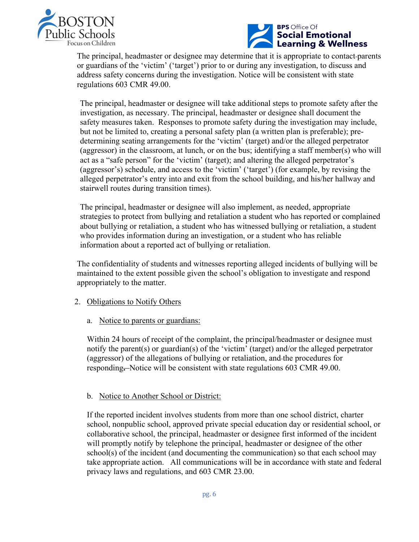



The principal, headmaster or designee may determine that it is appropriate to contact parents or guardians of the 'victim' ('target') prior to or during any investigation, to discuss and address safety concerns during the investigation. Notice will be consistent with state regulations 603 CMR 49.00.

The principal, headmaster or designee will take additional steps to promote safety after the investigation, as necessary. The principal, headmaster or designee shall document the safety measures taken. Responses to promote safety during the investigation may include, but not be limited to, creating a personal safety plan (a written plan is preferable); predetermining seating arrangements for the 'victim' (target) and/or the alleged perpetrator (aggressor) in the classroom, at lunch, or on the bus; identifying a staff member(s) who will act as a "safe person" for the 'victim' (target); and altering the alleged perpetrator's (aggressor's) schedule, and access to the 'victim' ('target') (for example, by revising the alleged perpetrator's entry into and exit from the school building, and his/her hallway and stairwell routes during transition times).

The principal, headmaster or designee will also implement, as needed, appropriate strategies to protect from bullying and retaliation a student who has reported or complained about bullying or retaliation, a student who has witnessed bullying or retaliation, a student who provides information during an investigation, or a student who has reliable information about a reported act of bullying or retaliation.

The confidentiality of students and witnesses reporting alleged incidents of bullying will be maintained to the extent possible given the school's obligation to investigate and respond appropriately to the matter.

- 2. Obligations to Notify Others
	- a. Notice to parents or guardians:

Within 24 hours of receipt of the complaint, the principal/headmaster or designee must notify the parent(s) or guardian(s) of the 'victim' (target) and/or the alleged perpetrator (aggressor) of the allegations of bullying or retaliation, and the procedures for responding**.** Notice will be consistent with state regulations 603 CMR 49.00.

#### b. Notice to Another School or District:

If the reported incident involves students from more than one school district, charter school, nonpublic school, approved private special education day or residential school, or collaborative school, the principal, headmaster or designee first informed of the incident will promptly notify by telephone the principal, headmaster or designee of the other  $school(s)$  of the incident (and documenting the communication) so that each school may take appropriate action. All communications will be in accordance with state and federal privacy laws and regulations, and 603 CMR 23.00.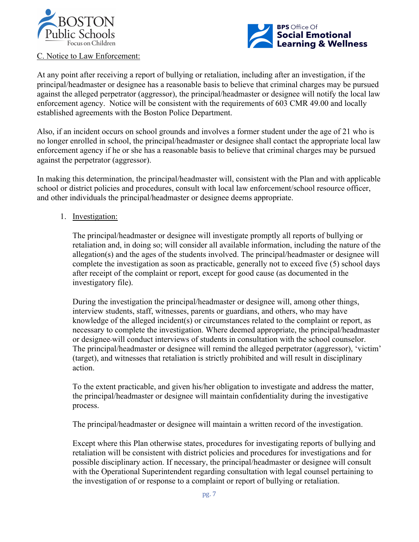



#### C. Notice to Law Enforcement:

At any point after receiving a report of bullying or retaliation, including after an investigation, if the principal/headmaster or designee has a reasonable basis to believe that criminal charges may be pursued against the alleged perpetrator (aggressor), the principal/headmaster or designee will notify the local law enforcement agency. Notice will be consistent with the requirements of 603 CMR 49.00 and locally established agreements with the Boston Police Department.

Also, if an incident occurs on school grounds and involves a former student under the age of 21 who is no longer enrolled in school, the principal/headmaster or designee shall contact the appropriate local law enforcement agency if he or she has a reasonable basis to believe that criminal charges may be pursued against the perpetrator (aggressor).

In making this determination, the principal/headmaster will, consistent with the Plan and with applicable school or district policies and procedures, consult with local law enforcement/school resource officer, and other individuals the principal/headmaster or designee deems appropriate.

#### 1. Investigation:

The principal/headmaster or designee will investigate promptly all reports of bullying or retaliation and, in doing so; will consider all available information, including the nature of the allegation(s) and the ages of the students involved. The principal/headmaster or designee will complete the investigation as soon as practicable, generally not to exceed five (5) school days after receipt of the complaint or report, except for good cause (as documented in the investigatory file).

During the investigation the principal/headmaster or designee will, among other things, interview students, staff, witnesses, parents or guardians, and others, who may have knowledge of the alleged incident(s) or circumstances related to the complaint or report, as necessary to complete the investigation. Where deemed appropriate, the principal/headmaster or designee will conduct interviews of students in consultation with the school counselor. The principal/headmaster or designee will remind the alleged perpetrator (aggressor), 'victim' (target), and witnesses that retaliation is strictly prohibited and will result in disciplinary action.

To the extent practicable, and given his/her obligation to investigate and address the matter, the principal/headmaster or designee will maintain confidentiality during the investigative process.

The principal/headmaster or designee will maintain a written record of the investigation.

Except where this Plan otherwise states, procedures for investigating reports of bullying and retaliation will be consistent with district policies and procedures for investigations and for possible disciplinary action. If necessary, the principal/headmaster or designee will consult with the Operational Superintendent regarding consultation with legal counsel pertaining to the investigation of or response to a complaint or report of bullying or retaliation.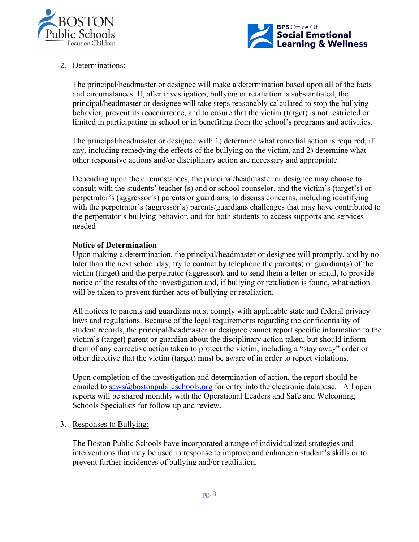



# 2. Determinations:

The principal/headmaster or designee will make a determination based upon all of the facts and circumstances. If, after investigation, bullying or retaliation is substantiated, the principal/headmaster or designee will take steps reasonably calculated to stop the bullying behavior, prevent its reoccurrence, and to ensure that the victim (target) is not restricted or limited in participating in school or in benefiting from the school's programs and activities.

The principal/headmaster or designee will: 1) determine what remedial action is required, if any, including remedying the effects of the bullying on the victim, and 2) determine what other responsive actions and/or disciplinary action are necessary and appropriate.

Depending upon the circumstances, the principal/headmaster or designee may choose to consult with the students' teacher (s) and or school counselor, and the victim's (target's) or perpetrator's (aggressor's) parents or guardians, to discuss concerns, including identifying with the perpetrator's (aggressor's) parents/guardians challenges that may have contributed to the perpetrator's bullying behavior, and for both students to access supports and services needed

## **Notice of Determination**

Upon making a determination, the principal/headmaster or designee will promptly, and by no later than the next school day, try to contact by telephone the parent(s) or guardian(s) of the victim (target) and the perpetrator (aggressor), and to send them a letter or email, to provide notice of the results of the investigation and, if bullying or retaliation is found, what action will be taken to prevent further acts of bullying or retaliation.

All notices to parents and guardians must comply with applicable state and federal privacy laws and regulations. Because of the legal requirements regarding the confidentiality of student records, the principal/headmaster or designee cannot report specific information to the victim's (target) parent or guardian about the disciplinary action taken, but should inform them of any corrective action taken to protect the victim, including a "stay away" order or other directive that the victim (target) must be aware of in order to report violations.

Upon completion of the investigation and determination of action, the report should be emailed to saws@bostonpublicschools.org for entry into the electronic database. All open reports will be shared monthly with the Operational Leaders and Safe and Welcoming Schools Specialists for follow up and review.

#### 3. Responses to Bullying:

The Boston Public Schools have incorporated a range of individualized strategies and interventions that may be used in response to improve and enhance a student's skills or to prevent further incidences of bullying and/or retaliation.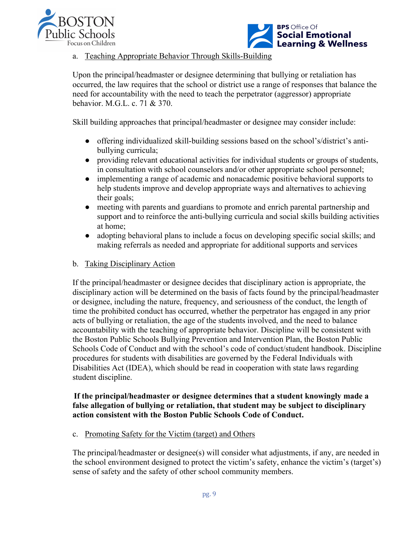



#### a. Teaching Appropriate Behavior Through Skills-Building

Upon the principal/headmaster or designee determining that bullying or retaliation has occurred, the law requires that the school or district use a range of responses that balance the need for accountability with the need to teach the perpetrator (aggressor) appropriate behavior. M.G.L. c. 71 & 370.

Skill building approaches that principal/headmaster or designee may consider include:

- offering individualized skill-building sessions based on the school's/district's antibullying curricula;
- providing relevant educational activities for individual students or groups of students, in consultation with school counselors and/or other appropriate school personnel;
- implementing a range of academic and nonacademic positive behavioral supports to help students improve and develop appropriate ways and alternatives to achieving their goals;
- meeting with parents and guardians to promote and enrich parental partnership and support and to reinforce the anti-bullying curricula and social skills building activities at home;
- adopting behavioral plans to include a focus on developing specific social skills; and making referrals as needed and appropriate for additional supports and services

#### b. Taking Disciplinary Action

If the principal/headmaster or designee decides that disciplinary action is appropriate, the disciplinary action will be determined on the basis of facts found by the principal/headmaster or designee, including the nature, frequency, and seriousness of the conduct, the length of time the prohibited conduct has occurred, whether the perpetrator has engaged in any prior acts of bullying or retaliation, the age of the students involved, and the need to balance accountability with the teaching of appropriate behavior. Discipline will be consistent with the Boston Public Schools Bullying Prevention and Intervention Plan, the Boston Public Schools Code of Conduct and with the school's code of conduct/student handbook. Discipline procedures for students with disabilities are governed by the Federal Individuals with Disabilities Act (IDEA), which should be read in cooperation with state laws regarding student discipline.

#### **If the principal/headmaster or designee determines that a student knowingly made a false allegation of bullying or retaliation, that student may be subject to disciplinary action consistent with the Boston Public Schools Code of Conduct.**

c. Promoting Safety for the Victim (target) and Others

The principal/headmaster or designee(s) will consider what adjustments, if any, are needed in the school environment designed to protect the victim's safety, enhance the victim's (target's) sense of safety and the safety of other school community members.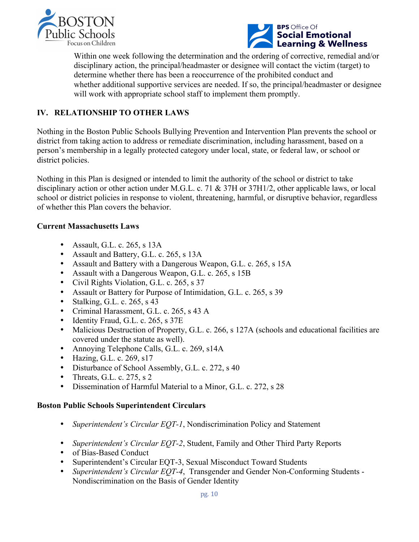



Within one week following the determination and the ordering of corrective, remedial and/or disciplinary action, the principal/headmaster or designee will contact the victim (target) to determine whether there has been a reoccurrence of the prohibited conduct and whether additional supportive services are needed. If so, the principal/headmaster or designee will work with appropriate school staff to implement them promptly.

# **IV. RELATIONSHIP TO OTHER LAWS**

Nothing in the Boston Public Schools Bullying Prevention and Intervention Plan prevents the school or district from taking action to address or remediate discrimination, including harassment, based on a person's membership in a legally protected category under local, state, or federal law, or school or district policies.

Nothing in this Plan is designed or intended to limit the authority of the school or district to take disciplinary action or other action under M.G.L. c. 71 & 37H or 37H1/2, other applicable laws, or local school or district policies in response to violent, threatening, harmful, or disruptive behavior, regardless of whether this Plan covers the behavior.

#### **Current Massachusetts Laws**

- Assault, G.L. c. 265, s 13A
- Assault and Battery, G.L. c. 265, s 13A
- Assault and Battery with a Dangerous Weapon, G.L. c. 265, s 15A
- Assault with a Dangerous Weapon, G.L. c. 265, s 15B
- Civil Rights Violation, G.L. c. 265, s 37
- Assault or Battery for Purpose of Intimidation, G.L. c. 265, s 39
- Stalking, G.L. c. 265, s  $43$
- Criminal Harassment, G.L. c. 265, s 43 A
- Identity Fraud, G.L. c. 265, s 37E
- Malicious Destruction of Property, G.L. c. 266, s 127A (schools and educational facilities are covered under the statute as well).
- Annoying Telephone Calls, G.L. c. 269, s14A
- Hazing, G.L. c. 269, s17
- Disturbance of School Assembly, G.L. c. 272, s 40
- Threats, G.L. c. 275, s  $2$
- Dissemination of Harmful Material to a Minor, G.L. c. 272, s 28

#### **Boston Public Schools Superintendent Circulars**

- *Superintendent's Circular EQT-1*, Nondiscrimination Policy and Statement
- *Superintendent's Circular EQT-2*, Student, Family and Other Third Party Reports
- of Bias-Based Conduct
- Superintendent's Circular EQT-3, Sexual Misconduct Toward Students
- *Superintendent's Circular EQT-4*, Transgender and Gender Non-Conforming Students Nondiscrimination on the Basis of Gender Identity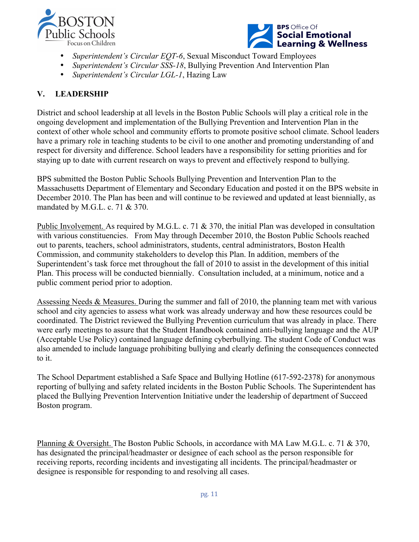



- *Superintendent's Circular EQT-6*, Sexual Misconduct Toward Employees
- *Superintendent's Circular SSS-18*, Bullying Prevention And Intervention Plan
- *Superintendent's Circular LGL-1*, Hazing Law

# **V. LEADERSHIP**

District and school leadership at all levels in the Boston Public Schools will play a critical role in the ongoing development and implementation of the Bullying Prevention and Intervention Plan in the context of other whole school and community efforts to promote positive school climate. School leaders have a primary role in teaching students to be civil to one another and promoting understanding of and respect for diversity and difference. School leaders have a responsibility for setting priorities and for staying up to date with current research on ways to prevent and effectively respond to bullying.

BPS submitted the Boston Public Schools Bullying Prevention and Intervention Plan to the Massachusetts Department of Elementary and Secondary Education and posted it on the BPS website in December 2010. The Plan has been and will continue to be reviewed and updated at least biennially, as mandated by M.G.L. c. 71 & 370.

Public Involvement. As required by M.G.L. c. 71 & 370, the initial Plan was developed in consultation with various constituencies. From May through December 2010, the Boston Public Schools reached out to parents, teachers, school administrators, students, central administrators, Boston Health Commission, and community stakeholders to develop this Plan. In addition, members of the Superintendent's task force met throughout the fall of 2010 to assist in the development of this initial Plan. This process will be conducted biennially. Consultation included, at a minimum, notice and a public comment period prior to adoption.

Assessing Needs & Measures. During the summer and fall of 2010, the planning team met with various school and city agencies to assess what work was already underway and how these resources could be coordinated. The District reviewed the Bullying Prevention curriculum that was already in place. There were early meetings to assure that the Student Handbook contained anti-bullying language and the AUP (Acceptable Use Policy) contained language defining cyberbullying. The student Code of Conduct was also amended to include language prohibiting bullying and clearly defining the consequences connected to it.

The School Department established a Safe Space and Bullying Hotline (617-592-2378) for anonymous reporting of bullying and safety related incidents in the Boston Public Schools. The Superintendent has placed the Bullying Prevention Intervention Initiative under the leadership of department of Succeed Boston program.

Planning & Oversight. The Boston Public Schools, in accordance with MA Law M.G.L. c. 71 & 370, has designated the principal/headmaster or designee of each school as the person responsible for receiving reports, recording incidents and investigating all incidents. The principal/headmaster or designee is responsible for responding to and resolving all cases.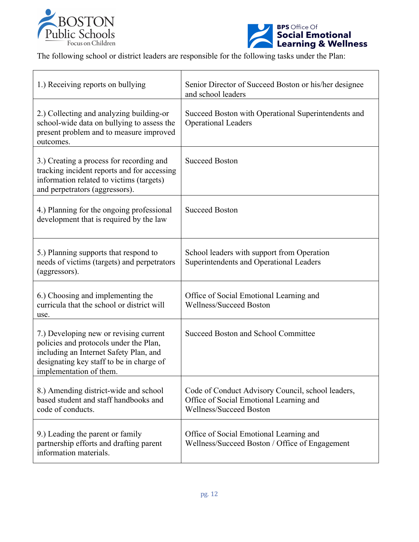



The following school or district leaders are responsible for the following tasks under the Plan:

| 1.) Receiving reports on bullying                                                                                                                                                                 | Senior Director of Succeed Boston or his/her designee<br>and school leaders                                                    |
|---------------------------------------------------------------------------------------------------------------------------------------------------------------------------------------------------|--------------------------------------------------------------------------------------------------------------------------------|
| 2.) Collecting and analyzing building-or<br>school-wide data on bullying to assess the<br>present problem and to measure improved<br>outcomes.                                                    | Succeed Boston with Operational Superintendents and<br><b>Operational Leaders</b>                                              |
| 3.) Creating a process for recording and<br>tracking incident reports and for accessing<br>information related to victims (targets)<br>and perpetrators (aggressors).                             | <b>Succeed Boston</b>                                                                                                          |
| 4.) Planning for the ongoing professional<br>development that is required by the law                                                                                                              | <b>Succeed Boston</b>                                                                                                          |
| 5.) Planning supports that respond to<br>needs of victims (targets) and perpetrators<br>(aggressors).                                                                                             | School leaders with support from Operation<br>Superintendents and Operational Leaders                                          |
| 6.) Choosing and implementing the<br>curricula that the school or district will<br>use.                                                                                                           | Office of Social Emotional Learning and<br><b>Wellness/Succeed Boston</b>                                                      |
| 7.) Developing new or revising current<br>policies and protocols under the Plan,<br>including an Internet Safety Plan, and<br>designating key staff to be in charge of<br>implementation of them. | Succeed Boston and School Committee                                                                                            |
| 8.) Amending district-wide and school<br>based student and staff handbooks and<br>code of conducts.                                                                                               | Code of Conduct Advisory Council, school leaders,<br>Office of Social Emotional Learning and<br><b>Wellness/Succeed Boston</b> |
| 9.) Leading the parent or family<br>partnership efforts and drafting parent<br>information materials.                                                                                             | Office of Social Emotional Learning and<br>Wellness/Succeed Boston / Office of Engagement                                      |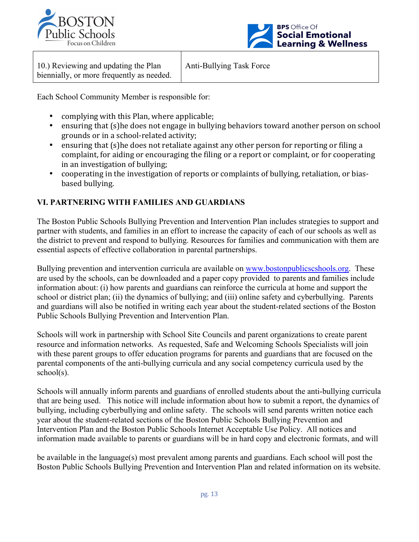



| 10.) Reviewing and updating the Plan      |  |
|-------------------------------------------|--|
| biennially, or more frequently as needed. |  |

Anti-Bullying Task Force

Each School Community Member is responsible for:

- complying with this Plan, where applicable;
- ensuring that (s)he does not engage in bullying behaviors toward another person on school grounds or in a school-related activity;
- ensuring that (s)he does not retaliate against any other person for reporting or filing a complaint, for aiding or encouraging the filing or a report or complaint, or for cooperating in an investigation of bullying;
- cooperating in the investigation of reports or complaints of bullying, retaliation, or biasbased bullying.

# **VI. PARTNERING WITH FAMILIES AND GUARDIANS**

The Boston Public Schools Bullying Prevention and Intervention Plan includes strategies to support and partner with students, and families in an effort to increase the capacity of each of our schools as well as the district to prevent and respond to bullying. Resources for families and communication with them are essential aspects of effective collaboration in parental partnerships.

Bullying prevention and intervention curricula are available on www.bostonpublicscshools.org. These are used by the schools, can be downloaded and a paper copy provided to parents and families include information about: (i) how parents and guardians can reinforce the curricula at home and support the school or district plan; (ii) the dynamics of bullying; and (iii) online safety and cyberbullying. Parents and guardians will also be notified in writing each year about the student-related sections of the Boston Public Schools Bullying Prevention and Intervention Plan.

Schools will work in partnership with School Site Councils and parent organizations to create parent resource and information networks. As requested, Safe and Welcoming Schools Specialists will join with these parent groups to offer education programs for parents and guardians that are focused on the parental components of the anti-bullying curricula and any social competency curricula used by the school(s).

Schools will annually inform parents and guardians of enrolled students about the anti-bullying curricula that are being used. This notice will include information about how to submit a report, the dynamics of bullying, including cyberbullying and online safety. The schools will send parents written notice each year about the student-related sections of the Boston Public Schools Bullying Prevention and Intervention Plan and the Boston Public Schools Internet Acceptable Use Policy. All notices and information made available to parents or guardians will be in hard copy and electronic formats, and will

be available in the language(s) most prevalent among parents and guardians. Each school will post the Boston Public Schools Bullying Prevention and Intervention Plan and related information on its website.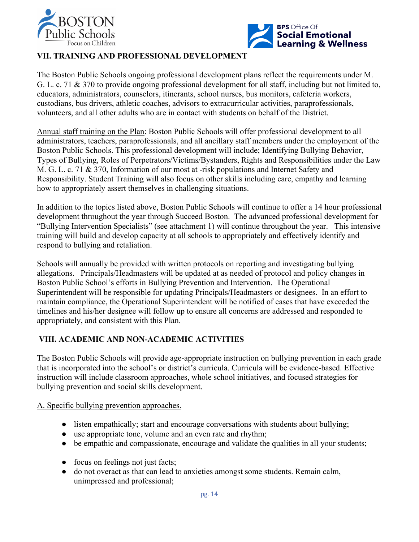



# **VII. TRAINING AND PROFESSIONAL DEVELOPMENT**

The Boston Public Schools ongoing professional development plans reflect the requirements under M. G. L. c. 71 & 370 to provide ongoing professional development for all staff, including but not limited to, educators, administrators, counselors, itinerants, school nurses, bus monitors, cafeteria workers, custodians, bus drivers, athletic coaches, advisors to extracurricular activities, paraprofessionals, volunteers, and all other adults who are in contact with students on behalf of the District.

Annual staff training on the Plan: Boston Public Schools will offer professional development to all administrators, teachers, paraprofessionals, and all ancillary staff members under the employment of the Boston Public Schools. This professional development will include; Identifying Bullying Behavior, Types of Bullying, Roles of Perpetrators/Victims/Bystanders, Rights and Responsibilities under the Law M. G. L. c. 71 & 370, Information of our most at -risk populations and Internet Safety and Responsibility. Student Training will also focus on other skills including care, empathy and learning how to appropriately assert themselves in challenging situations.

In addition to the topics listed above, Boston Public Schools will continue to offer a 14 hour professional development throughout the year through Succeed Boston. The advanced professional development for "Bullying Intervention Specialists" (see attachment 1) will continue throughout the year. This intensive training will build and develop capacity at all schools to appropriately and effectively identify and respond to bullying and retaliation.

Schools will annually be provided with written protocols on reporting and investigating bullying allegations. Principals/Headmasters will be updated at as needed of protocol and policy changes in Boston Public School's efforts in Bullying Prevention and Intervention. The Operational Superintendent will be responsible for updating Principals/Headmasters or designees. In an effort to maintain compliance, the Operational Superintendent will be notified of cases that have exceeded the timelines and his/her designee will follow up to ensure all concerns are addressed and responded to appropriately, and consistent with this Plan.

# **VIII. ACADEMIC AND NON-ACADEMIC ACTIVITIES**

The Boston Public Schools will provide age-appropriate instruction on bullying prevention in each grade that is incorporated into the school's or district's curricula. Curricula will be evidence-based. Effective instruction will include classroom approaches, whole school initiatives, and focused strategies for bullying prevention and social skills development.

#### A. Specific bullying prevention approaches.

- listen empathically; start and encourage conversations with students about bullying;
- use appropriate tone, volume and an even rate and rhythm;
- be empathic and compassionate, encourage and validate the qualities in all your students;
- focus on feelings not just facts;
- do not overact as that can lead to anxieties amongst some students. Remain calm, unimpressed and professional;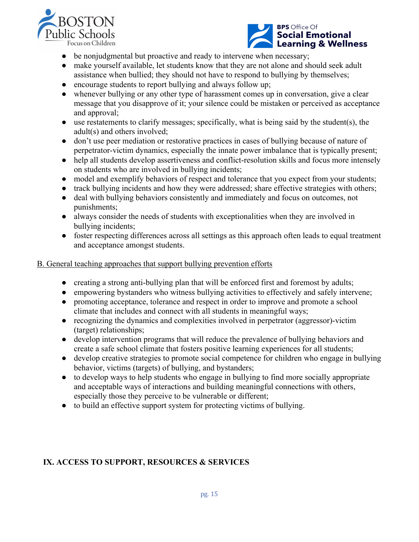



- be nonjudgmental but proactive and ready to intervene when necessary;
- make yourself available, let students know that they are not alone and should seek adult assistance when bullied; they should not have to respond to bullying by themselves;
- encourage students to report bullying and always follow up;
- whenever bullying or any other type of harassment comes up in conversation, give a clear message that you disapprove of it; your silence could be mistaken or perceived as acceptance and approval;
- use restatements to clarify messages; specifically, what is being said by the student(s), the adult(s) and others involved;
- don't use peer mediation or restorative practices in cases of bullying because of nature of perpetrator-victim dynamics, especially the innate power imbalance that is typically present;
- help all students develop assertiveness and conflict-resolution skills and focus more intensely on students who are involved in bullying incidents;
- model and exemplify behaviors of respect and tolerance that you expect from your students;
- track bullying incidents and how they were addressed; share effective strategies with others;
- deal with bullying behaviors consistently and immediately and focus on outcomes, not punishments;
- always consider the needs of students with exceptionalities when they are involved in bullying incidents;
- foster respecting differences across all settings as this approach often leads to equal treatment and acceptance amongst students.

#### B. General teaching approaches that support bullying prevention efforts

- creating a strong anti-bullying plan that will be enforced first and foremost by adults;
- empowering bystanders who witness bullying activities to effectively and safely intervene;
- promoting acceptance, tolerance and respect in order to improve and promote a school climate that includes and connect with all students in meaningful ways;
- recognizing the dynamics and complexities involved in perpetrator (aggressor)-victim (target) relationships;
- develop intervention programs that will reduce the prevalence of bullying behaviors and create a safe school climate that fosters positive learning experiences for all students;
- develop creative strategies to promote social competence for children who engage in bullying behavior, victims (targets) of bullying, and bystanders;
- to develop ways to help students who engage in bullying to find more socially appropriate and acceptable ways of interactions and building meaningful connections with others, especially those they perceive to be vulnerable or different;
- to build an effective support system for protecting victims of bullying.

## **IX. ACCESS TO SUPPORT, RESOURCES & SERVICES**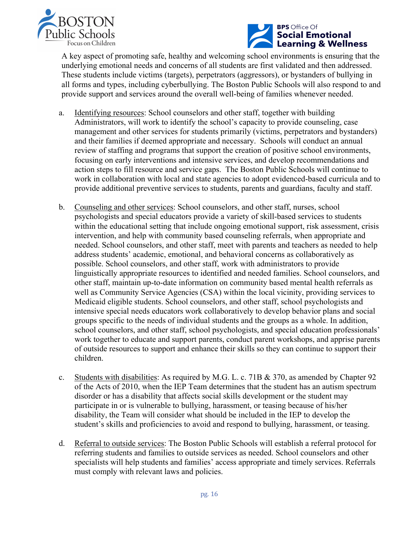



A key aspect of promoting safe, healthy and welcoming school environments is ensuring that the underlying emotional needs and concerns of all students are first validated and then addressed. These students include victims (targets), perpetrators (aggressors), or bystanders of bullying in all forms and types, including cyberbullying. The Boston Public Schools will also respond to and provide support and services around the overall well-being of families whenever needed.

- a. Identifying resources: School counselors and other staff, together with building Administrators, will work to identify the school's capacity to provide counseling, case management and other services for students primarily (victims, perpetrators and bystanders) and their families if deemed appropriate and necessary. Schools will conduct an annual review of staffing and programs that support the creation of positive school environments, focusing on early interventions and intensive services, and develop recommendations and action steps to fill resource and service gaps. The Boston Public Schools will continue to work in collaboration with local and state agencies to adopt evidenced-based curricula and to provide additional preventive services to students, parents and guardians, faculty and staff.
- b. Counseling and other services: School counselors, and other staff, nurses, school psychologists and special educators provide a variety of skill-based services to students within the educational setting that include ongoing emotional support, risk assessment, crisis intervention, and help with community based counseling referrals, when appropriate and needed. School counselors, and other staff, meet with parents and teachers as needed to help address students' academic, emotional, and behavioral concerns as collaboratively as possible. School counselors, and other staff, work with administrators to provide linguistically appropriate resources to identified and needed families. School counselors, and other staff, maintain up-to-date information on community based mental health referrals as well as Community Service Agencies (CSA) within the local vicinity, providing services to Medicaid eligible students. School counselors, and other staff, school psychologists and intensive special needs educators work collaboratively to develop behavior plans and social groups specific to the needs of individual students and the groups as a whole. In addition, school counselors, and other staff, school psychologists, and special education professionals' work together to educate and support parents, conduct parent workshops, and apprise parents of outside resources to support and enhance their skills so they can continue to support their children.
- c. Students with disabilities: As required by M.G. L. c. 71B & 370, as amended by Chapter 92 of the Acts of 2010, when the IEP Team determines that the student has an autism spectrum disorder or has a disability that affects social skills development or the student may participate in or is vulnerable to bullying, harassment, or teasing because of his/her disability, the Team will consider what should be included in the IEP to develop the student's skills and proficiencies to avoid and respond to bullying, harassment, or teasing.
- d. Referral to outside services: The Boston Public Schools will establish a referral protocol for referring students and families to outside services as needed. School counselors and other specialists will help students and families' access appropriate and timely services. Referrals must comply with relevant laws and policies.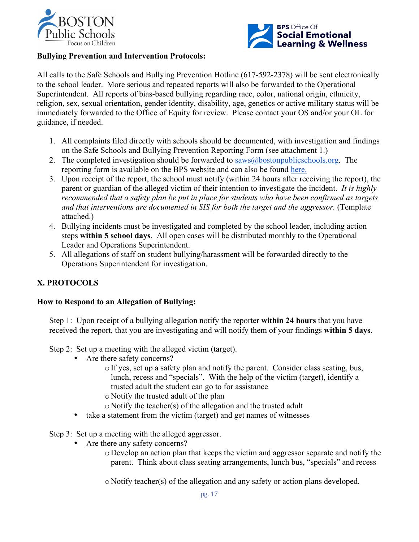



#### **Bullying Prevention and Intervention Protocols:**

All calls to the Safe Schools and Bullying Prevention Hotline (617-592-2378) will be sent electronically to the school leader. More serious and repeated reports will also be forwarded to the Operational Superintendent. All reports of bias-based bullying regarding race, color, national origin, ethnicity, religion, sex, sexual orientation, gender identity, disability, age, genetics or active military status will be immediately forwarded to the Office of Equity for review. Please contact your OS and/or your OL for guidance, if needed.

- 1. All complaints filed directly with schools should be documented, with investigation and findings on the Safe Schools and Bullying Prevention Reporting Form (see attachment 1.)
- 2. The completed investigation should be forwarded to  $saws@bostonpublic schools.org$ . The reporting form is available on the BPS website and can also be found here.
- 3. Upon receipt of the report, the school must notify (within 24 hours after receiving the report), the parent or guardian of the alleged victim of their intention to investigate the incident. *It is highly recommended that a safety plan be put in place for students who have been confirmed as targets and that interventions are documented in SIS for both the target and the aggressor.* (Template attached.)
- 4. Bullying incidents must be investigated and completed by the school leader, including action steps **within 5 school days**. All open cases will be distributed monthly to the Operational Leader and Operations Superintendent.
- 5. All allegations of staff on student bullying/harassment will be forwarded directly to the Operations Superintendent for investigation.

## **X. PROTOCOLS**

#### **How to Respond to an Allegation of Bullying:**

Step 1: Upon receipt of a bullying allegation notify the reporter **within 24 hours** that you have received the report, that you are investigating and will notify them of your findings **within 5 days**.

Step 2: Set up a meeting with the alleged victim (target).

- Are there safety concerns?
	- oIf yes, set up a safety plan and notify the parent. Consider class seating, bus, lunch, recess and "specials". With the help of the victim (target), identify a trusted adult the student can go to for assistance
	- o Notify the trusted adult of the plan
	- o Notify the teacher(s) of the allegation and the trusted adult
- take a statement from the victim (target) and get names of witnesses

Step 3: Set up a meeting with the alleged aggressor.

- Are there any safety concerns?
	- o Develop an action plan that keeps the victim and aggressor separate and notify the parent. Think about class seating arrangements, lunch bus, "specials" and recess

o Notify teacher(s) of the allegation and any safety or action plans developed.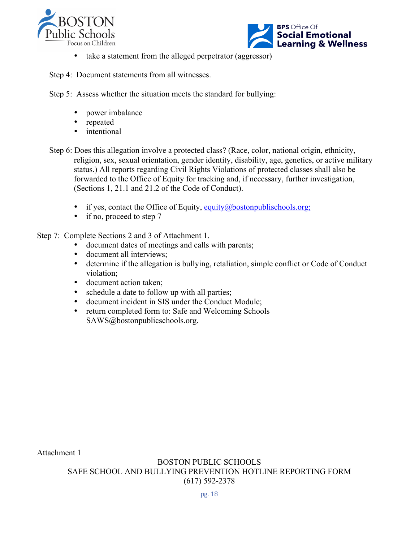



• take a statement from the alleged perpetrator (aggressor)

Step 4: Document statements from all witnesses.

Step 5: Assess whether the situation meets the standard for bullying:

- power imbalance
- repeated
- intentional
- Step 6: Does this allegation involve a protected class? (Race, color, national origin, ethnicity, religion, sex, sexual orientation, gender identity, disability, age, genetics, or active military status.) All reports regarding Civil Rights Violations of protected classes shall also be forwarded to the Office of Equity for tracking and, if necessary, further investigation, (Sections 1, 21.1 and 21.2 of the Code of Conduct).
	- if yes, contact the Office of Equity, equity $\omega$ bostonpublischools.org;
	- if no, proceed to step 7

Step 7: Complete Sections 2 and 3 of Attachment 1.

- document dates of meetings and calls with parents;
- document all interviews;
- determine if the allegation is bullying, retaliation, simple conflict or Code of Conduct violation;
- document action taken;
- schedule a date to follow up with all parties;
- document incident in SIS under the Conduct Module;
- return completed form to: Safe and Welcoming Schools SAWS@bostonpublicschools.org.

Attachment 1

BOSTON PUBLIC SCHOOLS SAFE SCHOOL AND BULLYING PREVENTION HOTLINE REPORTING FORM (617) 592-2378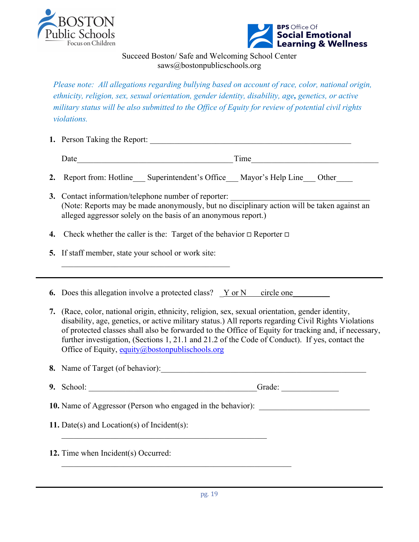



Succeed Boston/ Safe and Welcoming School Center saws@bostonpublicschools.org

*Please note: All allegations regarding bullying based on account of race, color, national origin, ethnicity, religion, sex, sexual orientation, gender identity, disability, age, genetics, or active military status will be also submitted to the Office of Equity for review of potential civil rights violations.* 

|  | 1. Person Taking the Report: |  |  |
|--|------------------------------|--|--|
|--|------------------------------|--|--|

Date\_\_\_\_\_\_\_\_\_\_\_\_\_\_\_\_\_\_\_\_\_\_\_\_\_\_\_\_\_\_\_\_\_\_\_\_\_\_Time\_\_\_\_\_\_\_\_\_\_\_\_\_\_\_\_\_\_\_\_\_\_\_\_\_\_\_\_\_\_\_

- **2.** Report from: Hotline Superintendent's Office Mayor's Help Line Other
- **3.** Contact information/telephone number of reporter: (Note: Reports may be made anonymously, but no disciplinary action will be taken against an alleged aggressor solely on the basis of an anonymous report.)
- **4.** Check whether the caller is the: Target of the behavior □ Reporter □
- **5.** If staff member, state your school or work site:

 $\mathcal{L}_\text{max}$ 

**6.** Does this allegation involve a protected class? Y or N circle one

**7.** (Race, color, national origin, ethnicity, religion, sex, sexual orientation, gender identity, disability, age, genetics, or active military status.) All reports regarding Civil Rights Violations of protected classes shall also be forwarded to the Office of Equity for tracking and, if necessary, further investigation, (Sections 1, 21.1 and 21.2 of the Code of Conduct). If yes, contact the Office of Equity, equity $\omega$ bostonpublischools.org

**8.** Name of Target (of behavior):

| 9. | $\sim$<br>-3011 |  |  |
|----|-----------------|--|--|
|    |                 |  |  |

**10.** Name of Aggressor (Person who engaged in the behavior):

 $\mathcal{L}_\text{max}$  and the contract of the contract of the contract of the contract of the contract of the contract of the contract of the contract of the contract of the contract of the contract of the contract of the contrac

 $\mathcal{L}_\text{max}$  , and the contribution of the contribution of the contribution of the contribution of the contribution of the contribution of the contribution of the contribution of the contribution of the contribution of t

**11.** Date(s) and Location(s) of Incident(s):

**12.** Time when Incident(s) Occurred: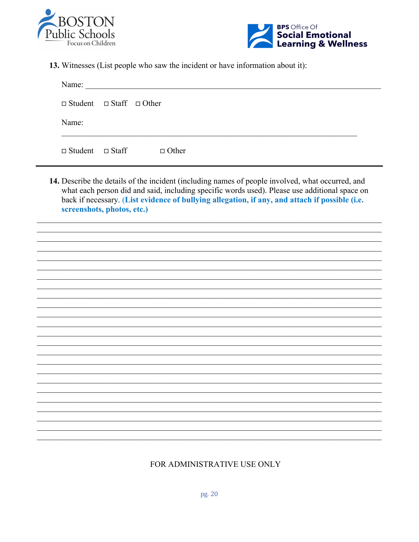



13. Witnesses (List people who saw the incident or have information about it):

| Name:                                    |              |  |  |
|------------------------------------------|--------------|--|--|
| $\Box$ Student $\Box$ Staff $\Box$ Other |              |  |  |
| Name:                                    |              |  |  |
| $\Box$ Student $\Box$ Staff              | $\Box$ Other |  |  |

14. Describe the details of the incident (including names of people involved, what occurred, and what each person did and said, including specific words used). Please use additional space on back if necessary. (List evidence of bullying allegation, if any, and attach if possible (i.e. screenshots, photos, etc.)

# FOR ADMINISTRATIVE USE ONLY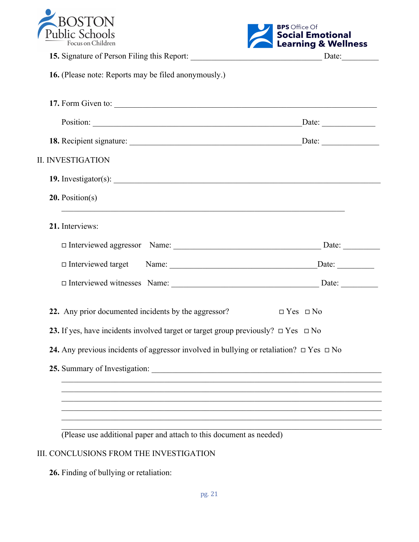



| 17. Form Given to:                                                                                |
|---------------------------------------------------------------------------------------------------|
|                                                                                                   |
|                                                                                                   |
|                                                                                                   |
| 19. Investigator(s): $\qquad \qquad$                                                              |
|                                                                                                   |
|                                                                                                   |
|                                                                                                   |
|                                                                                                   |
|                                                                                                   |
| $\Box$ Yes $\Box$ No                                                                              |
| 23. If yes, have incidents involved target or target group previously? $\Box$ Yes $\Box$ No       |
| 24. Any previous incidents of aggressor involved in bullying or retaliation? $\Box$ Yes $\Box$ No |
| 25. Summary of Investigation:                                                                     |
|                                                                                                   |
|                                                                                                   |
|                                                                                                   |
|                                                                                                   |

# III. CONCLUSIONS FROM THE INVESTIGATION

**26.** Finding of bullying or retaliation: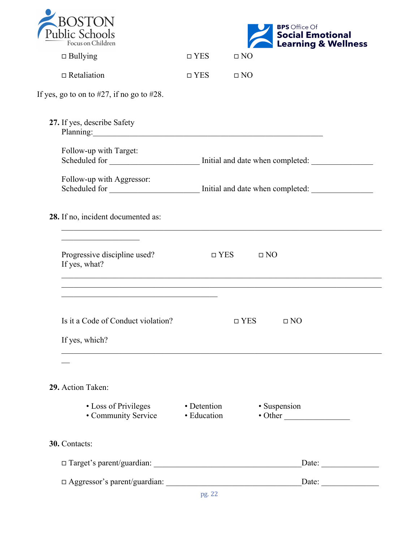| Public Schools    |
|-------------------|
| Focus on Children |



| Focus on Children                                                                                                                                                                                                                                                                                                                                  |                            |                         | <b>Learning &amp; Wellness</b>  |
|----------------------------------------------------------------------------------------------------------------------------------------------------------------------------------------------------------------------------------------------------------------------------------------------------------------------------------------------------|----------------------------|-------------------------|---------------------------------|
| $\Box$ Bullying                                                                                                                                                                                                                                                                                                                                    | $\Box$ YES                 | $\Box$ NO               |                                 |
| $\Box$ Retaliation                                                                                                                                                                                                                                                                                                                                 | $\Box$ YES                 | $\Box$ NO               |                                 |
| If yes, go to on to $#27$ , if no go to $#28$ .                                                                                                                                                                                                                                                                                                    |                            |                         |                                 |
| 27. If yes, describe Safety<br>Planning: 2008 and 2008 and 2008 and 2008 and 2008 and 2008 and 2008 and 2008 and 2008 and 2008 and 2008 and 2008 and 2008 and 2008 and 2008 and 2008 and 2008 and 2008 and 2008 and 2008 and 2008 and 2008 and 2008 and 2008                                                                                       |                            |                         |                                 |
| Follow-up with Target:<br>Scheduled for ____________________________ Initial and date when completed: _______________________                                                                                                                                                                                                                      |                            |                         |                                 |
| Follow-up with Aggressor:                                                                                                                                                                                                                                                                                                                          |                            |                         |                                 |
| 28. If no, incident documented as:                                                                                                                                                                                                                                                                                                                 |                            |                         |                                 |
| <u> 1989 - Johann Barbara, martin amerikan ba</u><br>Progressive discipline used?<br>If yes, what?<br><u> 1999 - 1999 - 1999 - 1999 - 1999 - 1999 - 1999 - 1999 - 1999 - 1999 - 1999 - 1999 - 1999 - 1999 - 1999 - 19</u><br><u> 1989 - Johann Johann Stoff, deutscher Stoffen und der Stoffen und der Stoffen und der Stoffen und der Stoffen</u> |                            | $\Box$ YES<br>$\Box$ NO |                                 |
| <u> 1989 - Johann Barbara, martxa alemaniar amerikan a</u><br>Is it a Code of Conduct violation?<br>If yes, which?                                                                                                                                                                                                                                 |                            | $\Box$ YES              | $\Box$ NO                       |
|                                                                                                                                                                                                                                                                                                                                                    |                            |                         |                                 |
| 29. Action Taken:                                                                                                                                                                                                                                                                                                                                  |                            |                         |                                 |
| • Loss of Privileges<br>• Community Service                                                                                                                                                                                                                                                                                                        | • Detention<br>• Education |                         | • Suspension<br>$\bullet$ Other |
| 30. Contacts:                                                                                                                                                                                                                                                                                                                                      |                            |                         |                                 |
|                                                                                                                                                                                                                                                                                                                                                    |                            |                         | Date:                           |
|                                                                                                                                                                                                                                                                                                                                                    |                            |                         | Date:                           |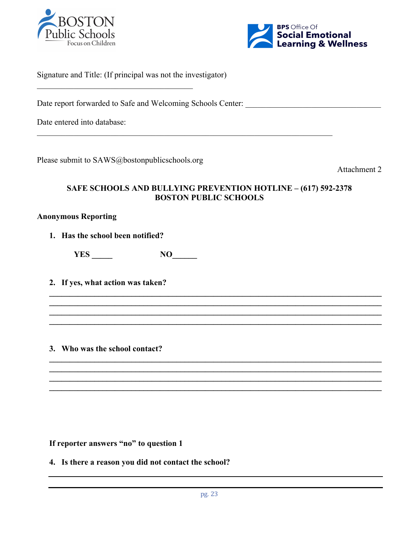



| Signature and Title: (If principal was not the investigator) |  |
|--------------------------------------------------------------|--|
| Date report forwarded to Safe and Welcoming Schools Center:  |  |
| Date entered into database:                                  |  |

Please submit to SAWS@bostonpublicschools.org

Attachment 2

# **SAFE SCHOOLS AND BULLYING PREVENTION HOTLINE – (617) 592-2378 BOSTON PUBLIC SCHOOLS**

**\_\_\_\_\_\_\_\_\_\_\_\_\_\_\_\_\_\_\_\_\_\_\_\_\_\_\_\_\_\_\_\_\_\_\_\_\_\_\_\_\_\_\_\_\_\_\_\_\_\_\_\_\_\_\_\_\_\_\_\_\_\_\_\_\_\_\_\_\_\_\_\_\_\_\_\_\_\_\_\_\_ \_\_\_\_\_\_\_\_\_\_\_\_\_\_\_\_\_\_\_\_\_\_\_\_\_\_\_\_\_\_\_\_\_\_\_\_\_\_\_\_\_\_\_\_\_\_\_\_\_\_\_\_\_\_\_\_\_\_\_\_\_\_\_\_\_\_\_\_\_\_\_\_\_\_\_\_\_\_\_\_\_ \_\_\_\_\_\_\_\_\_\_\_\_\_\_\_\_\_\_\_\_\_\_\_\_\_\_\_\_\_\_\_\_\_\_\_\_\_\_\_\_\_\_\_\_\_\_\_\_\_\_\_\_\_\_\_\_\_\_\_\_\_\_\_\_\_\_\_\_\_\_\_\_\_\_\_\_\_\_\_\_\_ \_\_\_\_\_\_\_\_\_\_\_\_\_\_\_\_\_\_\_\_\_\_\_\_\_\_\_\_\_\_\_\_\_\_\_\_\_\_\_\_\_\_\_\_\_\_\_\_\_\_\_\_\_\_\_\_\_\_\_\_\_\_\_\_\_\_\_\_\_\_\_\_\_\_\_\_\_\_\_\_\_**

**\_\_\_\_\_\_\_\_\_\_\_\_\_\_\_\_\_\_\_\_\_\_\_\_\_\_\_\_\_\_\_\_\_\_\_\_\_\_\_\_\_\_\_\_\_\_\_\_\_\_\_\_\_\_\_\_\_\_\_\_\_\_\_\_\_\_\_\_\_\_\_\_\_\_\_\_\_\_\_\_\_ \_\_\_\_\_\_\_\_\_\_\_\_\_\_\_\_\_\_\_\_\_\_\_\_\_\_\_\_\_\_\_\_\_\_\_\_\_\_\_\_\_\_\_\_\_\_\_\_\_\_\_\_\_\_\_\_\_\_\_\_\_\_\_\_\_\_\_\_\_\_\_\_\_\_\_\_\_\_\_\_\_ \_\_\_\_\_\_\_\_\_\_\_\_\_\_\_\_\_\_\_\_\_\_\_\_\_\_\_\_\_\_\_\_\_\_\_\_\_\_\_\_\_\_\_\_\_\_\_\_\_\_\_\_\_\_\_\_\_\_\_\_\_\_\_\_\_\_\_\_\_\_\_\_\_\_\_\_\_\_\_\_\_ \_\_\_\_\_\_\_\_\_\_\_\_\_\_\_\_\_\_\_\_\_\_\_\_\_\_\_\_\_\_\_\_\_\_\_\_\_\_\_\_\_\_\_\_\_\_\_\_\_\_\_\_\_\_\_\_\_\_\_\_\_\_\_\_\_\_\_\_\_\_\_\_\_\_\_\_\_\_\_\_\_**

# **Anonymous Reporting**

**1. Has the school been notified?**

**YES \_\_\_\_\_ NO\_\_\_\_\_\_**

**2. If yes, what action was taken?**

**3. Who was the school contact?**

**If reporter answers "no" to question 1** 

**4. Is there a reason you did not contact the school?**